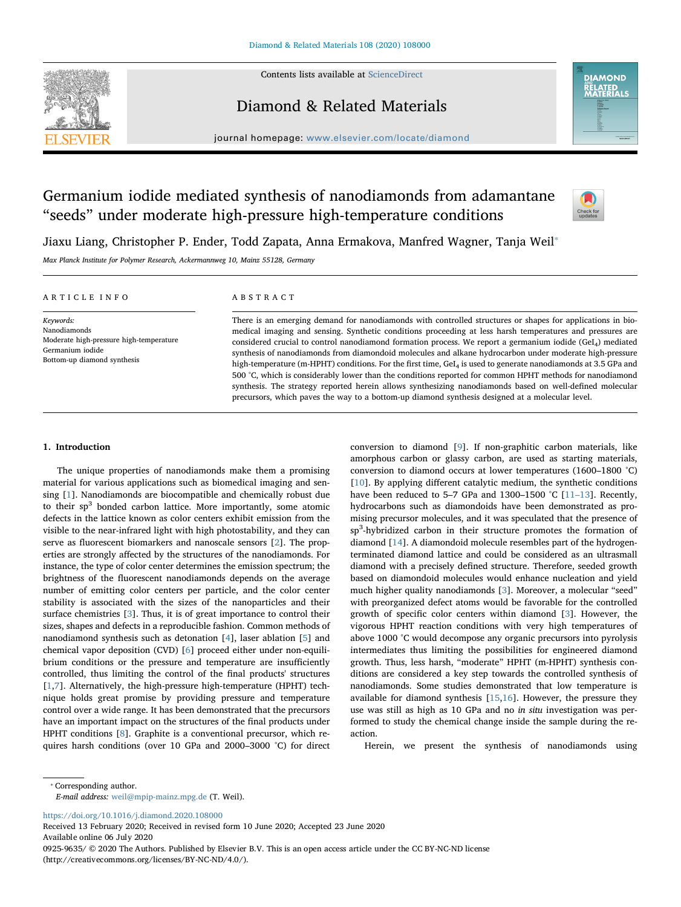

Contents lists available at [ScienceDirect](http://www.sciencedirect.com/science/journal/09259635)

Diamond & Related Materials



journal homepage: [www.elsevier.com/locate/diamond](https://www.elsevier.com/locate/diamond)

# Germanium iodide mediated synthesis of nanodiamonds from adamantane "seeds" under moderate high-pressure high-temperature conditions



Jiaxu Liang, Christopher P. Ender, Todd Zapata, Anna Ermakova, Manfred Wagner, Tanja Weil<sup>®</sup>

Max Planck Institute for Polymer Research, Ackermannweg 10, Mainz 55128, Germany

#### ARTICLE INFO Keywords: Nanodiamonds Moderate high-pressure high-temperature Germanium iodide Bottom-up diamond synthesis ABSTRACT There is an emerging demand for nanodiamonds with controlled structures or shapes for applications in biomedical imaging and sensing. Synthetic conditions proceeding at less harsh temperatures and pressures are considered crucial to control nanodiamond formation process. We report a germanium iodide (GeI<sub>4</sub>) mediated synthesis of nanodiamonds from diamondoid molecules and alkane hydrocarbon under moderate high-pressure high-temperature (m-HPHT) conditions. For the first time, GeI4 is used to generate nanodiamonds at 3.5 GPa and 500 °C, which is considerably lower than the conditions reported for common HPHT methods for nanodiamond synthesis. The strategy reported herein allows synthesizing nanodiamonds based on well-defined molecular precursors, which paves the way to a bottom-up diamond synthesis designed at a molecular level.

#### 1. Introduction

The unique properties of nanodiamonds make them a promising material for various applications such as biomedical imaging and sensing [\[1\]](#page-3-0). Nanodiamonds are biocompatible and chemically robust due to their  $sp<sup>3</sup>$  bonded carbon lattice. More importantly, some atomic defects in the lattice known as color centers exhibit emission from the visible to the near-infrared light with high photostability, and they can serve as fluorescent biomarkers and nanoscale sensors [\[2\]](#page-3-1). The properties are strongly affected by the structures of the nanodiamonds. For instance, the type of color center determines the emission spectrum; the brightness of the fluorescent nanodiamonds depends on the average number of emitting color centers per particle, and the color center stability is associated with the sizes of the nanoparticles and their surface chemistries [\[3\]](#page-3-2). Thus, it is of great importance to control their sizes, shapes and defects in a reproducible fashion. Common methods of nanodiamond synthesis such as detonation [\[4\]](#page-3-3), laser ablation [[5](#page-3-4)] and chemical vapor deposition (CVD) [\[6\]](#page-3-5) proceed either under non-equilibrium conditions or the pressure and temperature are insufficiently controlled, thus limiting the control of the final products' structures [[1](#page-3-0),[7](#page-3-6)]. Alternatively, the high-pressure high-temperature (HPHT) technique holds great promise by providing pressure and temperature control over a wide range. It has been demonstrated that the precursors have an important impact on the structures of the final products under HPHT conditions [[8](#page-3-7)]. Graphite is a conventional precursor, which requires harsh conditions (over 10 GPa and 2000–3000 °C) for direct conversion to diamond [\[9\]](#page-3-8). If non-graphitic carbon materials, like amorphous carbon or glassy carbon, are used as starting materials, conversion to diamond occurs at lower temperatures (1600–1800 °C) [[10\]](#page-3-9). By applying different catalytic medium, the synthetic conditions have been reduced to 5–7 GPa and 1300–1500 °C [\[11](#page-3-10)–13]. Recently, hydrocarbons such as diamondoids have been demonstrated as promising precursor molecules, and it was speculated that the presence of sp<sup>3</sup>-hybridized carbon in their structure promotes the formation of diamond [\[14](#page-3-11)]. A diamondoid molecule resembles part of the hydrogenterminated diamond lattice and could be considered as an ultrasmall diamond with a precisely defined structure. Therefore, seeded growth based on diamondoid molecules would enhance nucleation and yield much higher quality nanodiamonds [\[3\]](#page-3-2). Moreover, a molecular "seed" with preorganized defect atoms would be favorable for the controlled growth of specific color centers within diamond [\[3\]](#page-3-2). However, the vigorous HPHT reaction conditions with very high temperatures of above 1000 °C would decompose any organic precursors into pyrolysis intermediates thus limiting the possibilities for engineered diamond growth. Thus, less harsh, "moderate" HPHT (m-HPHT) synthesis conditions are considered a key step towards the controlled synthesis of nanodiamonds. Some studies demonstrated that low temperature is available for diamond synthesis [\[15](#page-3-12),[16\]](#page-3-13). However, the pressure they use was still as high as 10 GPa and no in situ investigation was performed to study the chemical change inside the sample during the reaction.

Herein, we present the synthesis of nanodiamonds using

<span id="page-0-0"></span>⁎ Corresponding author.

E-mail address: [weil@mpip-mainz.mpg.de](mailto:weil@mpip-mainz.mpg.de) (T. Weil).

<https://doi.org/10.1016/j.diamond.2020.108000>

Received 13 February 2020; Received in revised form 10 June 2020; Accepted 23 June 2020 Available online 06 July 2020

0925-9635/ © 2020 The Authors. Published by Elsevier B.V. This is an open access article under the CC BY-NC-ND license (http://creativecommons.org/licenses/BY-NC-ND/4.0/).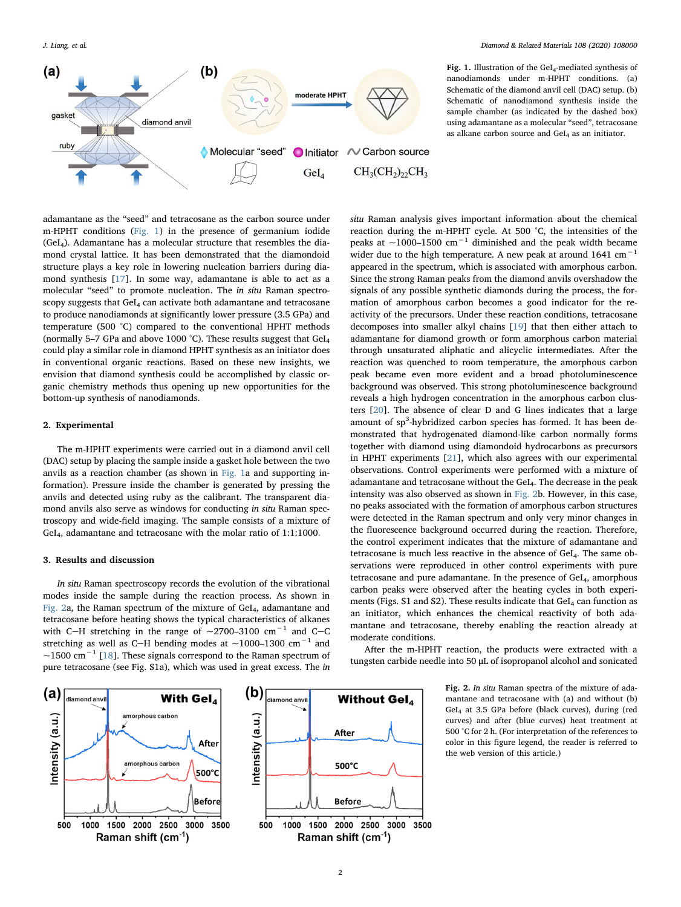<span id="page-1-0"></span>

Fig. 1. Illustration of the GeI<sub>4</sub>-mediated synthesis of nanodiamonds under m-HPHT conditions. (a) Schematic of the diamond anvil cell (DAC) setup. (b) Schematic of nanodiamond synthesis inside the sample chamber (as indicated by the dashed box) using adamantane as a molecular "seed", tetracosane as alkane carbon source and  $GeI<sub>4</sub>$  as an initiator.

adamantane as the "seed" and tetracosane as the carbon source under m-HPHT conditions [\(Fig. 1](#page-1-0)) in the presence of germanium iodide (GeI4). Adamantane has a molecular structure that resembles the diamond crystal lattice. It has been demonstrated that the diamondoid structure plays a key role in lowering nucleation barriers during diamond synthesis [[17\]](#page-3-14). In some way, adamantane is able to act as a molecular "seed" to promote nucleation. The in situ Raman spectroscopy suggests that GeI<sub>4</sub> can activate both adamantane and tetracosane to produce nanodiamonds at significantly lower pressure (3.5 GPa) and temperature (500 °C) compared to the conventional HPHT methods (normally 5–7 GPa and above 1000 °C). These results suggest that  $GeI<sub>4</sub>$ could play a similar role in diamond HPHT synthesis as an initiator does in conventional organic reactions. Based on these new insights, we envision that diamond synthesis could be accomplished by classic organic chemistry methods thus opening up new opportunities for the bottom-up synthesis of nanodiamonds.

#### 2. Experimental

The m-HPHT experiments were carried out in a diamond anvil cell (DAC) setup by placing the sample inside a gasket hole between the two anvils as a reaction chamber (as shown in [Fig. 1a](#page-1-0) and supporting information). Pressure inside the chamber is generated by pressing the anvils and detected using ruby as the calibrant. The transparent diamond anvils also serve as windows for conducting in situ Raman spectroscopy and wide-field imaging. The sample consists of a mixture of GeI4, adamantane and tetracosane with the molar ratio of 1:1:1000.

## 3. Results and discussion

<span id="page-1-1"></span> $(a)$ 

iamond anvi

In situ Raman spectroscopy records the evolution of the vibrational modes inside the sample during the reaction process. As shown in [Fig. 2](#page-1-1)a, the Raman spectrum of the mixture of GeI4, adamantane and tetracosane before heating shows the typical characteristics of alkanes with C-H stretching in the range of ~2700-3100  $cm^{-1}$  and C-C stretching as well as C-H bending modes at ~1000–1300  $cm^{-1}$  and ~1500 cm<sup>-1</sup> [\[18\]](#page-3-15). These signals correspond to the Raman spectrum of pure tetracosane (see Fig. S1a), which was used in great excess. The in

With Gel<sub>4</sub>

amorphous carbor

 $(b)$ 

liamond anvi



After the m-HPHT reaction, the products were extracted with a tungsten carbide needle into 50 μL of isopropanol alcohol and sonicated

> Fig. 2. In situ Raman spectra of the mixture of adamantane and tetracosane with (a) and without (b) GeI4 at 3.5 GPa before (black curves), during (red curves) and after (blue curves) heat treatment at 500 °C for 2 h. (For interpretation of the references to color in this figure legend, the reader is referred to the web version of this article.)





After

500°C

**Before** 

**Without Gel**<sub>4</sub>

3500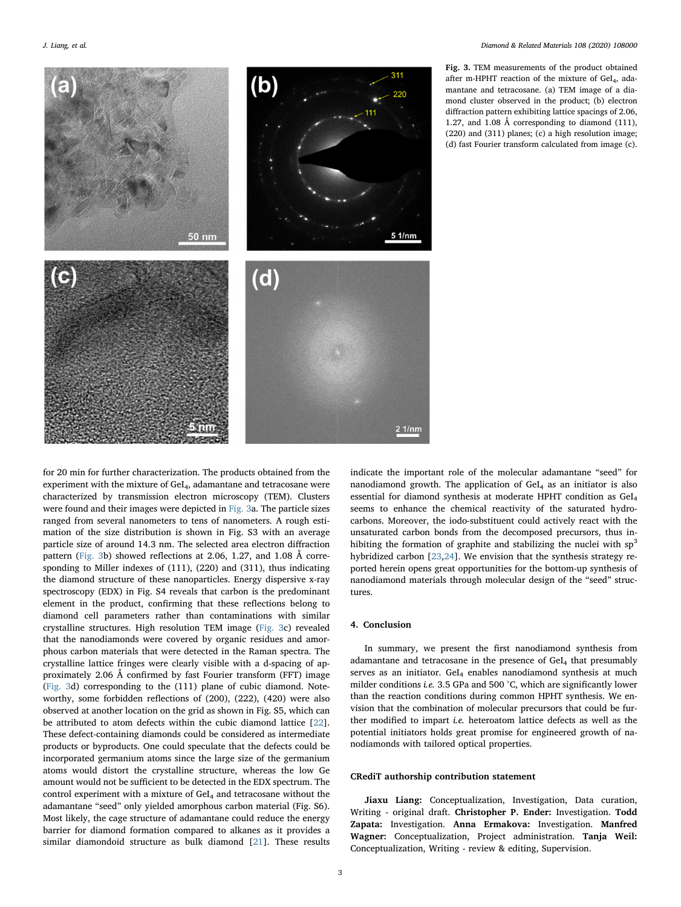<span id="page-2-0"></span>

Fig. 3. TEM measurements of the product obtained after m-HPHT reaction of the mixture of GeI<sub>4</sub>, adamantane and tetracosane. (a) TEM image of a diamond cluster observed in the product; (b) electron diffraction pattern exhibiting lattice spacings of 2.06, 1.27, and 1.08 Å corresponding to diamond (111), (220) and (311) planes; (c) a high resolution image; (d) fast Fourier transform calculated from image (c).

for 20 min for further characterization. The products obtained from the experiment with the mixture of GeI<sub>4</sub>, adamantane and tetracosane were characterized by transmission electron microscopy (TEM). Clusters were found and their images were depicted in [Fig. 3a](#page-2-0). The particle sizes ranged from several nanometers to tens of nanometers. A rough estimation of the size distribution is shown in Fig. S3 with an average particle size of around 14.3 nm. The selected area electron diffraction pattern [\(Fig. 3](#page-2-0)b) showed reflections at 2.06, 1.27, and 1.08 Å corresponding to Miller indexes of (111), (220) and (311), thus indicating the diamond structure of these nanoparticles. Energy dispersive x-ray spectroscopy (EDX) in Fig. S4 reveals that carbon is the predominant element in the product, confirming that these reflections belong to diamond cell parameters rather than contaminations with similar crystalline structures. High resolution TEM image ([Fig. 3](#page-2-0)c) revealed that the nanodiamonds were covered by organic residues and amorphous carbon materials that were detected in the Raman spectra. The crystalline lattice fringes were clearly visible with a d-spacing of approximately 2.06 Å confirmed by fast Fourier transform (FFT) image ([Fig. 3d](#page-2-0)) corresponding to the (111) plane of cubic diamond. Noteworthy, some forbidden reflections of (200), (222), (420) were also observed at another location on the grid as shown in Fig. S5, which can be attributed to atom defects within the cubic diamond lattice [\[22](#page-3-19)]. These defect-containing diamonds could be considered as intermediate products or byproducts. One could speculate that the defects could be incorporated germanium atoms since the large size of the germanium atoms would distort the crystalline structure, whereas the low Ge amount would not be sufficient to be detected in the EDX spectrum. The control experiment with a mixture of  $GeI<sub>4</sub>$  and tetracosane without the adamantane "seed" only yielded amorphous carbon material (Fig. S6). Most likely, the cage structure of adamantane could reduce the energy barrier for diamond formation compared to alkanes as it provides a similar diamondoid structure as bulk diamond [\[21](#page-3-18)]. These results

indicate the important role of the molecular adamantane "seed" for nanodiamond growth. The application of  $GeI<sub>4</sub>$  as an initiator is also essential for diamond synthesis at moderate HPHT condition as GeI4 seems to enhance the chemical reactivity of the saturated hydrocarbons. Moreover, the iodo-substituent could actively react with the unsaturated carbon bonds from the decomposed precursors, thus inhibiting the formation of graphite and stabilizing the nuclei with  $sp<sup>3</sup>$ hybridized carbon [\[23](#page-3-20),[24](#page-3-21)]. We envision that the synthesis strategy reported herein opens great opportunities for the bottom-up synthesis of nanodiamond materials through molecular design of the "seed" structures.

#### 4. Conclusion

In summary, we present the first nanodiamond synthesis from adamantane and tetracosane in the presence of GeI4 that presumably serves as an initiator. GeI<sub>4</sub> enables nanodiamond synthesis at much milder conditions *i.e.* 3.5 GPa and 500 °C, which are significantly lower than the reaction conditions during common HPHT synthesis. We envision that the combination of molecular precursors that could be further modified to impart i.e. heteroatom lattice defects as well as the potential initiators holds great promise for engineered growth of nanodiamonds with tailored optical properties.

#### CRediT authorship contribution statement

Jiaxu Liang: Conceptualization, Investigation, Data curation, Writing - original draft. Christopher P. Ender: Investigation. Todd Zapata: Investigation. Anna Ermakova: Investigation. Manfred Wagner: Conceptualization, Project administration. Tanja Weil: Conceptualization, Writing - review & editing, Supervision.